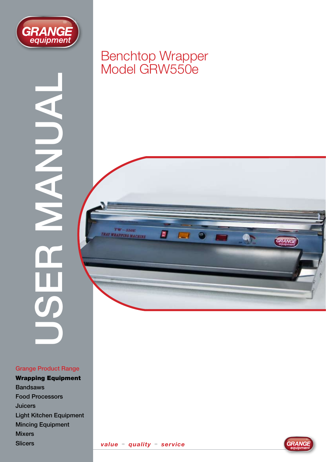

USER MANUAL

#### Grange Product Range

Wrapping Equipment Bandsaws Food Processors Juicers Light Kitchen Equipment Mincing Equipment Mixers **Slicers** 

### Benchtop Wrapper Model GRW550e

 $TW-550E$ **T WRAPPING MACHINE** 

Ø

Ø.

 $\Box$ 





GRANGE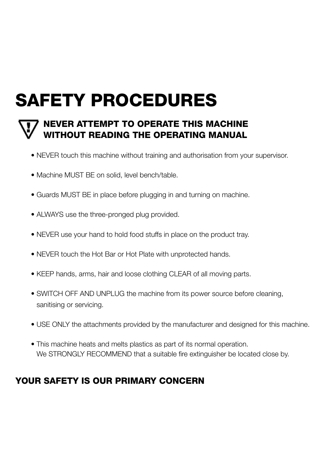# SAFETY PROCEDURES



### NEVER ATTEMPT TO OPERATE THIS MACHINE WITHOUT READING THE OPERATING MANUAL

- NEVER touch this machine without training and authorisation from your supervisor.
- Machine MUST BE on solid, level bench/table.
- Guards MUST BE in place before plugging in and turning on machine.
- ALWAYS use the three-pronged plug provided.
- NEVER use your hand to hold food stuffs in place on the product tray.
- NEVER touch the Hot Bar or Hot Plate with unprotected hands.
- KEEP hands, arms, hair and loose clothing CLEAR of all moving parts.
- SWITCH OFF AND UNPLUG the machine from its power source before cleaning, sanitising or servicing.
- USE ONLY the attachments provided by the manufacturer and designed for this machine.
- This machine heats and melts plastics as part of its normal operation. We STRONGLY RECOMMEND that a suitable fire extinguisher be located close by.

### YOUR SAFETY IS OUR PRIMARY CONCERN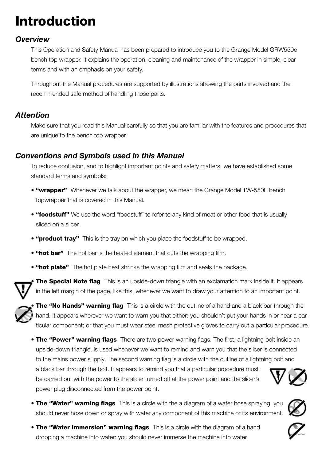# Introduction

### *Overview*

This Operation and Safety Manual has been prepared to introduce you to the Grange Model GRW550e bench top wrapper. It explains the operation, cleaning and maintenance of the wrapper in simple, clear terms and with an emphasis on your safety.

Throughout the Manual procedures are supported by illustrations showing the parts involved and the recommended safe method of handling those parts.

### *Attention*

Make sure that you read this Manual carefully so that you are familiar with the features and procedures that are unique to the bench top wrapper.

### *Conventions and Symbols used in this Manual*

To reduce confusion, and to highlight important points and safety matters, we have established some standard terms and symbols:

- "wrapper" Whenever we talk about the wrapper, we mean the Grange Model TW-550E bench topwrapper that is covered in this Manual.
- "foodstuff" We use the word "foodstuff" to refer to any kind of meat or other food that is usually sliced on a slicer.
- "product tray" This is the tray on which you place the foodstuff to be wrapped.
- "hot bar" The hot bar is the heated element that cuts the wrapping film.
- "hot plate" The hot plate heat shrinks the wrapping film and seals the package.

**The Special Note flag** This is an upside-down triangle with an exclamation mark inside it. It appears in the left margin of the page, like this, whenever we want to draw your attention to an important point.

The "No Hands" warning flag This is a circle with the outline of a hand and a black bar through the hand. It appears wherever we want to warn you that either: you shouldn't put your hands in or near a particular component; or that you must wear steel mesh protective gloves to carry out a particular procedure.

• The "Power" warning flags There are two power warning flags. The first, a lightning bolt inside an upside-down triangle, is used whenever we want to remind and warn you that the slicer is connected to the mains power supply. The second warning flag is a circle with the outline of a lightning bolt and

a black bar through the bolt. It appears to remind you that a particular procedure must be carried out with the power to the slicer turned off at the power point and the slicer's power plug disconnected from the power point.



- The "Water" warning flags This is a circle with the a diagram of a water hose spraying: you should never hose down or spray with water any component of this machine or its environment.
- The "Water Immersion" warning flags This is a circle with the diagram of a hand dropping a machine into water: you should never immerse the machine into water.

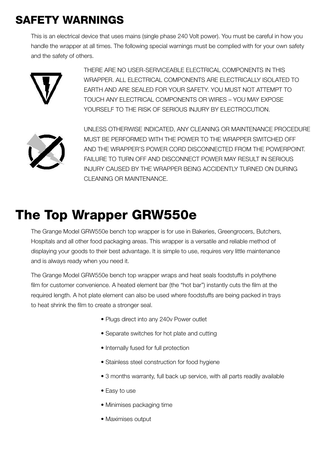### SAFETY WARNINGS

This is an electrical device that uses mains (single phase 240 Volt power). You must be careful in how you handle the wrapper at all times. The following special warnings must be complied with for your own safety and the safety of others.



 THERE ARE NO USER-SERVICEABLE ELECTRICAL COMPONENTS IN THIS WRAPPER. ALL ELECTRICAL COMPONENTS ARE ELECTRICALLY ISOLATED TO EARTH AND ARE SEALED FOR YOUR SAFETY. YOU MUST NOT ATTEMPT TO TOUCH ANY ELECTRICAL COMPONENTS OR WIRES – YOU MAY EXPOSE YOURSELF TO THE RISK OF SERIOUS INJURY BY ELECTROCUTION.



 UNLESS OTHERWISE INDICATED, ANY CLEANING OR MAINTENANCE PROCEDURE MUST BE PERFORMED WITH THE POWER TO THE WRAPPER SWITCHED OFF AND THE WRAPPER'S POWER CORD DISCONNECTED FROM THE POWERPOINT. FAILURE TO TURN OFF AND DISCONNECT POWER MAY RESULT IN SERIOUS INJURY CAUSED BY THE WRAPPER BEING ACCIDENTLY TURNED ON DURING CI FANING OR MAINTFNANCE.

# The Top Wrapper GRW550e

The Grange Model GRW550e bench top wrapper is for use in Bakeries, Greengrocers, Butchers, Hospitals and all other food packaging areas. This wrapper is a versatile and reliable method of displaying your goods to their best advantage. It is simple to use, requires very little maintenance and is always ready when you need it.

The Grange Model GRW550e bench top wrapper wraps and heat seals foodstuffs in polythene film for customer convenience. A heated element bar (the "hot bar") instantly cuts the film at the required length. A hot plate element can also be used where foodstuffs are being packed in trays to heat shrink the film to create a stronger seal.

- Plugs direct into any 240v Power outlet
- Separate switches for hot plate and cutting
- Internally fused for full protection
- Stainless steel construction for food hygiene
- 3 months warranty, full back up service, with all parts readily available
- Easy to use
- Minimises packaging time
- Maximises output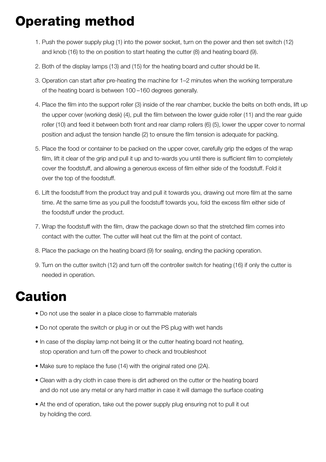# Operating method

- 1. Push the power supply plug (1) into the power socket, turn on the power and then set switch (12) and knob (16) to the on position to start heating the cutter (8) and heating board (9).
- 2. Both of the display lamps (13) and (15) for the heating board and cutter should be lit.
- 3. Operation can start after pre-heating the machine for 1–2 minutes when the working temperature of the heating board is between 100 –160 degrees generally.
- 4. Place the film into the support roller (3) inside of the rear chamber, buckle the belts on both ends, lift up the upper cover (working desk) (4), pull the film between the lower guide roller (11) and the rear guide roller (10) and feed it between both front and rear clamp rollers (6) (5), lower the upper cover to normal position and adjust the tension handle (2) to ensure the film tension is adequate for packing.
- 5. Place the food or container to be packed on the upper cover, carefully grip the edges of the wrap film, lift it clear of the grip and pull it up and to-wards you until there is sufficient film to completely cover the foodstuff, and allowing a generous excess of film either side of the foodstuff. Fold it over the top of the foodstuff.
- 6. Lift the foodstuff from the product tray and pull it towards you, drawing out more film at the same time. At the same time as you pull the foodstuff towards you, fold the excess film either side of the foodstuff under the product.
- 7. Wrap the foodstuff with the film, draw the package down so that the stretched film comes into contact with the cutter. The cutter will heat cut the film at the point of contact.
- 8. Place the package on the heating board (9) for sealing, ending the packing operation.
- 9. Turn on the cutter switch (12) and turn off the controller switch for heating (16) if only the cutter is needed in operation.

## Caution

- Do not use the sealer in a place close to flammable materials
- Do not operate the switch or plug in or out the PS plug with wet hands
- In case of the display lamp not being lit or the cutter heating board not heating, stop operation and turn off the power to check and troubleshoot
- Make sure to replace the fuse (14) with the original rated one (2A).
- Clean with a dry cloth in case there is dirt adhered on the cutter or the heating board and do not use any metal or any hard matter in case it will damage the surface coating
- At the end of operation, take out the power supply plug ensuring not to pull it out by holding the cord.